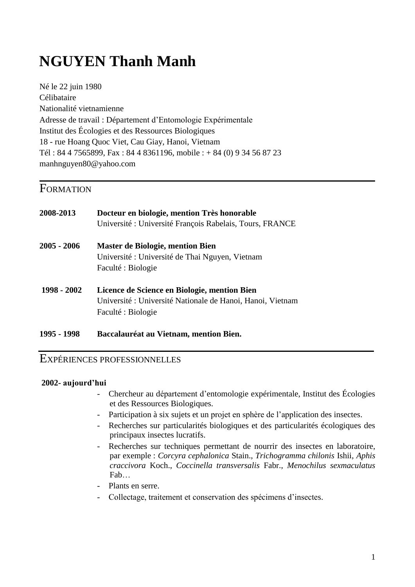# **NGUYEN Thanh Manh**

Né le 22 juin 1980 Célibataire Nationalité vietnamienne Adresse de travail : Département d'Entomologie Expérimentale Institut des Écologies et des Ressources Biologiques 18 - rue Hoang Quoc Viet, Cau Giay, Hanoi, Vietnam Tél : 84 4 7565899, Fax : 84 4 8361196, mobile : + 84 (0) 9 34 56 87 23 [manhnguyen80@yahoo.com](mailto:manhnguyen80@yahoo.com)

### **FORMATION**

| 2008-2013     | Docteur en biologie, mention Très honorable<br>Université : Université François Rabelais, Tours, FRANCE                          |
|---------------|----------------------------------------------------------------------------------------------------------------------------------|
| $2005 - 2006$ | <b>Master de Biologie, mention Bien</b><br>Université : Université de Thai Nguyen, Vietnam<br>Faculté : Biologie                 |
| 1998 - 2002   | Licence de Science en Biologie, mention Bien<br>Université : Université Nationale de Hanoi, Hanoi, Vietnam<br>Faculté : Biologie |
| 1995 - 1998   | Baccalauréat au Vietnam, mention Bien.                                                                                           |

#### EXPÉRIENCES PROFESSIONNELLES

#### **2002- aujourd'hui**

- Chercheur au département d'entomologie expérimentale, Institut des Écologies et des Ressources Biologiques.
- Participation à six sujets et un projet en sphère de l'application des insectes.
- Recherches sur particularités biologiques et des particularités écologiques des principaux insectes lucratifs.
- Recherches sur techniques permettant de nourrir des insectes en laboratoire, par exemple : *Corcyra cephalonica* Stain., *Trichogramma chilonis* Ishii, *Aphis craccivora* Koch., *Coccinella transversalis* Fabr., *Menochilus sexmaculatus* Fab…
- Plants en serre.
- Collectage, traitement et conservation des spécimens d'insectes.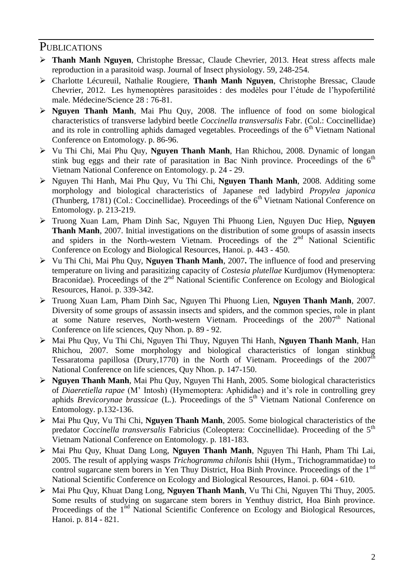#### **PUBLICATIONS**

- **Thanh Manh Nguyen**, Christophe Bressac, Claude Chevrier, 2013. Heat stress affects male reproduction in a parasitoid wasp. Journal of Insect physiology. 59, 248-254.
- Charlotte Lécureuil, Nathalie Rougiere, **Thanh Manh Nguyen**, Christophe Bressac, Claude Chevrier, 2012. Les hymenoptères parasitoides : des modèles pour l'étude de l'hypofertilité male. Médecine/Science 28 : 76-81.
- **Nguyen Thanh Manh**, Mai Phu Quy, 2008. The influence of food on some biological characteristics of transverse ladybird beetle *Coccinella transversalis* Fabr. (Col.: Coccinellidae) and its role in controlling aphids damaged vegetables. Proceedings of the  $6<sup>th</sup>$  Vietnam National Conference on Entomology. p. 86-96.
- Vu Thi Chi, Mai Phu Quy, **Nguyen Thanh Manh**, Han Rhichou, 2008. Dynamic of longan stink bug eggs and their rate of parasitation in Bac Ninh province. Proceedings of the  $6<sup>th</sup>$ Vietnam National Conference on Entomology. p. 24 - 29.
- Nguyen Thi Hanh, Mai Phu Quy, Vu Thi Chi, **Nguyen Thanh Manh**, 2008. Additing some morphology and biological characteristics of Japanese red ladybird *Propylea japonica* (Thunberg, 1781) (Col.: Coccinellidae). Proceedings of the  $6<sup>th</sup>$  Vietnam National Conference on Entomology. p. 213-219.
- Truong Xuan Lam, Pham Dinh Sac, Nguyen Thi Phuong Lien, Nguyen Duc Hiep, **Nguyen Thanh Manh**, 2007. Initial investigations on the distribution of some groups of asassin insects and spiders in the North-western Vietnam. Proceedings of the  $2<sup>nd</sup>$  National Scientific Conference on Ecology and Biological Resources, Hanoi. p. 443 - 450.
- Vu Thi Chi, Mai Phu Quy, **Nguyen Thanh Manh**, 2007**.** The influence of food and preserving temperature on living and parasitizing capacity of *Costesia plutellae* Kurdjumov (Hymenoptera: Braconidae). Proceedings of the 2<sup>nd</sup> National Scientific Conference on Ecology and Biological Resources, Hanoi. p. 339-342.
- Truong Xuan Lam, Pham Dinh Sac, Nguyen Thi Phuong Lien, **Nguyen Thanh Manh**, 2007. Diversity of some groups of assassin insects and spiders, and the common species, role in plant at some Nature reserves, North-western Vietnam. Proceedings of the 2007<sup>th</sup> National Conference on life sciences, Quy Nhon. p. 89 - 92.
- Mai Phu Quy, Vu Thi Chi, Nguyen Thi Thuy, Nguyen Thi Hanh, **Nguyen Thanh Manh**, Han Rhichou, 2007. Some morphology and biological characteristics of longan stinkbug Tessaratoma papillosa (Drury, 1770) in the North of Vietnam. Proceedings of the  $2007<sup>th</sup>$ National Conference on life sciences, Quy Nhon. p. 147-150.
- **Nguyen Thanh Manh**, Mai Phu Quy, Nguyen Thi Hanh, 2005. Some biological characteristics of *Diaeretiella rapae* (M' Intosh) (Hymemoptera: Aphididae) and it's role in controlling grey aphids *Brevicorynae brassicae* (L.). Proceedings of the 5<sup>th</sup> Vietnam National Conference on Entomology. p.132-136.
- Mai Phu Quy, Vu Thi Chi, **Nguyen Thanh Manh**, 2005. Some biological characteristics of the predator *Coccinella transversalis* Fabricius (Coleoptera: Coccinellidae). Proceeding of the 5th Vietnam National Conference on Entomology. p. 181-183.
- Mai Phu Quy, Khuat Dang Long, **Nguyen Thanh Manh**, Nguyen Thi Hanh, Pham Thi Lai, 2005. The result of applying wasps *Trichogramma chilonis* Ishii (Hym., Trichogrammatidae) to control sugarcane stem borers in Yen Thuy District, Hoa Binh Province. Proceedings of the 1<sup>nd</sup> National Scientific Conference on Ecology and Biological Resources, Hanoi. p. 604 - 610.
- Mai Phu Quy, Khuat Dang Long, **Nguyen Thanh Manh**, Vu Thi Chi, Nguyen Thi Thuy, 2005. Some results of studying on sugarcane stem borers in Yenthuy district, Hoa Binh province. Proceedings of the 1<sup>nd</sup> National Scientific Conference on Ecology and Biological Resources, Hanoi. p. 814 - 821.